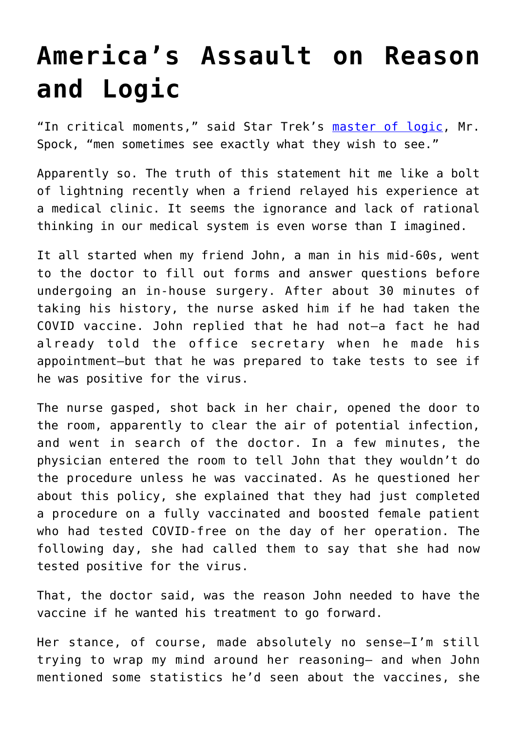## **[America's Assault on Reason](https://intellectualtakeout.org/2022/02/americas-assault-on-reason-and-logic/) [and Logic](https://intellectualtakeout.org/2022/02/americas-assault-on-reason-and-logic/)**

"In critical moments," said Star Trek's [master of logic](https://kidadl.com/articles/spock-quotes-for-the-most-logical-of-star-trek-fans), Mr. Spock, "men sometimes see exactly what they wish to see."

Apparently so. The truth of this statement hit me like a bolt of lightning recently when a friend relayed his experience at a medical clinic. It seems the ignorance and lack of rational thinking in our medical system is even worse than I imagined.

It all started when my friend John, a man in his mid-60s, went to the doctor to fill out forms and answer questions before undergoing an in-house surgery. After about 30 minutes of taking his history, the nurse asked him if he had taken the COVID vaccine. John replied that he had not—a fact he had already told the office secretary when he made his appointment—but that he was prepared to take tests to see if he was positive for the virus.

The nurse gasped, shot back in her chair, opened the door to the room, apparently to clear the air of potential infection, and went in search of the doctor. In a few minutes, the physician entered the room to tell John that they wouldn't do the procedure unless he was vaccinated. As he questioned her about this policy, she explained that they had just completed a procedure on a fully vaccinated and boosted female patient who had tested COVID-free on the day of her operation. The following day, she had called them to say that she had now tested positive for the virus.

That, the doctor said, was the reason John needed to have the vaccine if he wanted his treatment to go forward.

Her stance, of course, made absolutely no sense—I'm still trying to wrap my mind around her reasoning— and when John mentioned some statistics he'd seen about the vaccines, she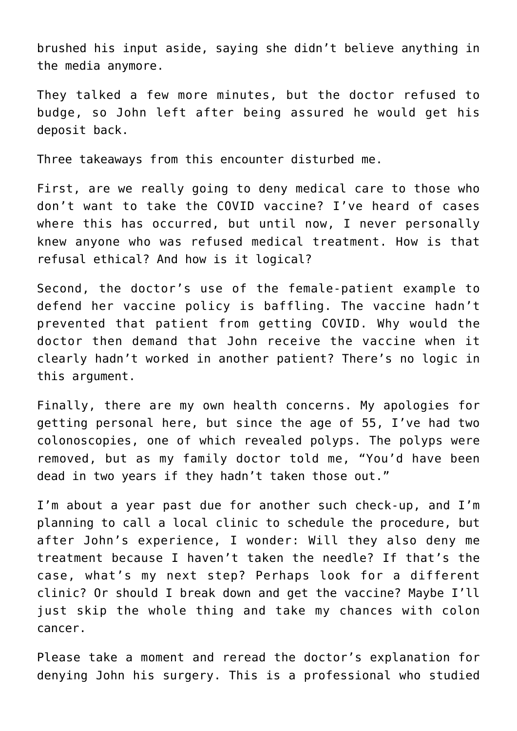brushed his input aside, saying she didn't believe anything in the media anymore.

They talked a few more minutes, but the doctor refused to budge, so John left after being assured he would get his deposit back.

Three takeaways from this encounter disturbed me.

First, are we really going to deny medical care to those who don't want to take the COVID vaccine? I've heard of cases where this has occurred, but until now, I never personally knew anyone who was refused medical treatment. How is that refusal ethical? And how is it logical?

Second, the doctor's use of the female-patient example to defend her vaccine policy is baffling. The vaccine hadn't prevented that patient from getting COVID. Why would the doctor then demand that John receive the vaccine when it clearly hadn't worked in another patient? There's no logic in this argument.

Finally, there are my own health concerns. My apologies for getting personal here, but since the age of 55, I've had two colonoscopies, one of which revealed polyps. The polyps were removed, but as my family doctor told me, "You'd have been dead in two years if they hadn't taken those out."

I'm about a year past due for another such check-up, and I'm planning to call a local clinic to schedule the procedure, but after John's experience, I wonder: Will they also deny me treatment because I haven't taken the needle? If that's the case, what's my next step? Perhaps look for a different clinic? Or should I break down and get the vaccine? Maybe I'll just skip the whole thing and take my chances with colon cancer.

Please take a moment and reread the doctor's explanation for denying John his surgery. This is a professional who studied